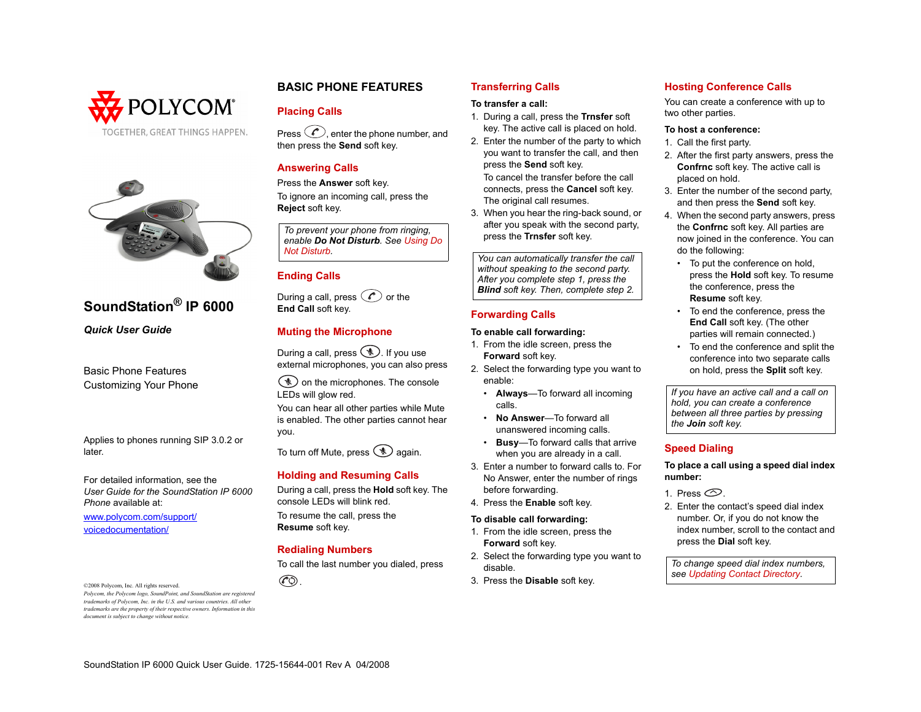



# **SoundStation® IP 6000**

*Quick User Guide*

Basic Phone Features Customizing Your Phone

Applies to phones running SIP 3.0.2 or later.

For detailed information, see the *User Guide for the SoundStation IP 6000 Phone* available at:

[www.polycom.com/support/](www.polycom.com/support/voicedocumentation/) voicedocumentation/

©2008 Polycom, Inc. All rights reserved. *Polycom, the Polycom logo, SoundPoint, and SoundStation are registered trademarks of Polycom, Inc. in the U.S. and various countries. All other trademarks are the property of their respective owners. Information in this document is subject to change without notice.*

# **BASIC PHONE FEATURES**

## **Placing Calls**

Press  $\langle \mathcal{E} \rangle$  enter the phone number, and then press the **Send** soft key.

# **Answering Calls**

Press the **Answer** soft key. To ignore an incoming call, press the **Reject** soft key.

*To prevent your phone from ringing, enable Do Not Disturb. See [Using Do](#page-1-1)* 

# **Ending Calls**

During a call, press  $\oslash$  or the **End Call** soft key.

## **Muting the Microphone**

During a call, press  $\circledast$ . If you use external microphones, you can also press

 $\mathcal{L}$  on the microphones. The console LEDs will glow red.

You can hear all other parties while Mute is enabled. The other parties cannot hear you.

To turn off Mute, press  $\circledast$  again.

## **Holding and Resuming Calls**

During a call, press the **Hold** soft key. The console LEDs will blink red. To resume the call, press the **Resume** soft key.

**Redialing Numbers**

To call the last number you dialed, press



## **Transferring Calls**

## **To transfer a call:**

- 1. During a call, press the **Trnsfer** soft key. The active call is placed on hold.
- 2. Enter the number of the party to which you want to transfer the call, and then press the **Send** soft key*.* To cancel the transfer before the call connects, press the **Cancel** soft key. The original call resumes.
- 3. When you hear the ring-back sound, or after you speak with the second party, press the **Trnsfer** soft key.

*[Not Disturb](#page-1-1). You can automatically transfer the call without speaking to the second party. After you complete step 1, press the Blind soft key. Then, complete step 2.*

## **Forwarding Calls**

## **To enable call forwarding:**

- 1. From the idle screen, press the **Forward** soft key.
- 2. Select the forwarding type you want to enable:
	- **Always**—To forward all incoming calls.
	- **No Answer**—To forward all unanswered incoming calls.
	- **Busy**—To forward calls that arrive when you are already in a call.
- 3. Enter a number to forward calls to. For No Answer, enter the number of rings before forwarding.
- 4. Press the **Enable** soft key.

## **To disable call forwarding:**

- 1. From the idle screen, press the **Forward** soft key.
- 2. Select the forwarding type you want to disable.
- 3. Press the **Disable** soft key.

# **Hosting Conference Calls**

You can create a conference with up to two other parties.

#### **To host a conference:**

- 1. Call the first party.
- 2. After the first party answers, press the **Confrnc** soft key. The active call is placed on hold.
- 3. Enter the number of the second party, and then press the **Send** soft key.
- 4. When the second party answers, press the **Confrnc** soft key. All parties are now joined in the conference. You can do the following:
	- To put the conference on hold, press the **Hold** soft key. To resume the conference, press the **Resume** soft key.
	- To end the conference, press the **End Call** soft key. (The other parties will remain connected.)
	- To end the conference and split the conference into two separate calls on hold, press the **Split** soft key.

*If you have an active call and a call on hold, you can create a conference between all three parties by pressing the Join soft key.*

## **Speed Dialing**

#### **To place a call using a speed dial index number:**

- 1. Press  $\circledcirc$
- 2. Enter the contact's speed dial index number. Or, if you do not know the index number, scroll to the contact and press the **Dial** soft key.

*To change speed dial index numbers, see [Updating Contact Directory](#page-1-0).*